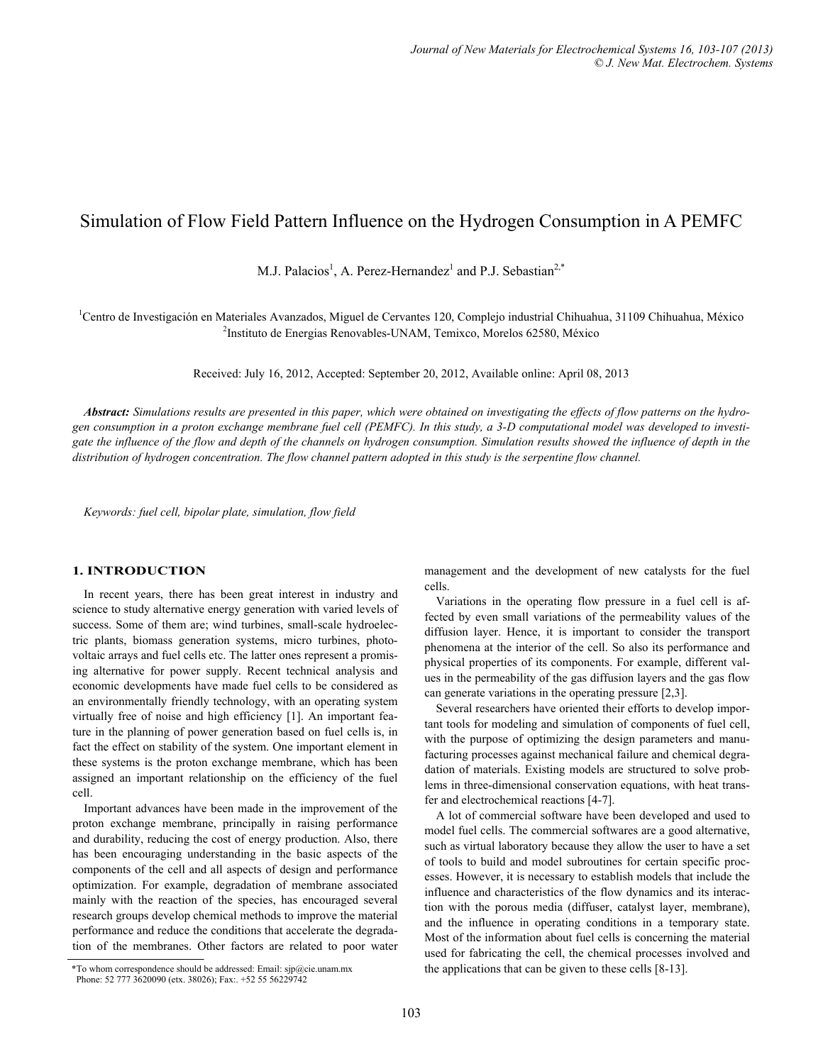# Simulation of Flow Field Pattern Influence on the Hydrogen Consumption in A PEMFC

M.J. Palacios<sup>1</sup>, A. Perez-Hernandez<sup>1</sup> and P.J. Sebastian<sup>2,\*</sup>

<sup>1</sup>Centro de Investigación en Materiales Avanzados, Miguel de Cervantes 120, Complejo industrial Chihuahua, 31109 Chihuahua, México <sup>2</sup>Institute de Francisco Banacuales UNAM Temixes, Mereles 62580, Máxico <sup>2</sup>Instituto de Energias Renovables-UNAM, Temixco, Morelos 62580, México

Received: July 16, 2012, Accepted: September 20, 2012, Available online: April 08, 2013

*Abstract: Simulations results are presented in this paper, which were obtained on investigating the effects of flow patterns on the hydrogen consumption in a proton exchange membrane fuel cell (PEMFC). In this study, a 3-D computational model was developed to investi*gate the influence of the flow and depth of the channels on hydrogen consumption. Simulation results showed the influence of depth in the *distribution of hydrogen concentration. The flow channel pattern adopted in this study is the serpentine flow channel.* 

*Keywords: fuel cell, bipolar plate, simulation, flow field* 

## **1. INTRODUCTION**

In recent years, there has been great interest in industry and science to study alternative energy generation with varied levels of success. Some of them are; wind turbines, small-scale hydroelectric plants, biomass generation systems, micro turbines, photovoltaic arrays and fuel cells etc. The latter ones represent a promising alternative for power supply. Recent technical analysis and economic developments have made fuel cells to be considered as an environmentally friendly technology, with an operating system virtually free of noise and high efficiency [1]. An important feature in the planning of power generation based on fuel cells is, in fact the effect on stability of the system. One important element in these systems is the proton exchange membrane, which has been assigned an important relationship on the efficiency of the fuel cell.

Important advances have been made in the improvement of the proton exchange membrane, principally in raising performance and durability, reducing the cost of energy production. Also, there has been encouraging understanding in the basic aspects of the components of the cell and all aspects of design and performance optimization. For example, degradation of membrane associated mainly with the reaction of the species, has encouraged several research groups develop chemical methods to improve the material performance and reduce the conditions that accelerate the degradation of the membranes. Other factors are related to poor water

Phone: 52 777 3620090 (etx. 38026); Fax:. +52 55 56229742

management and the development of new catalysts for the fuel cells.

Variations in the operating flow pressure in a fuel cell is affected by even small variations of the permeability values of the diffusion layer. Hence, it is important to consider the transport phenomena at the interior of the cell. So also its performance and physical properties of its components. For example, different values in the permeability of the gas diffusion layers and the gas flow can generate variations in the operating pressure [2,3].

Several researchers have oriented their efforts to develop important tools for modeling and simulation of components of fuel cell, with the purpose of optimizing the design parameters and manufacturing processes against mechanical failure and chemical degradation of materials. Existing models are structured to solve problems in three-dimensional conservation equations, with heat transfer and electrochemical reactions [4-7].

A lot of commercial software have been developed and used to model fuel cells. The commercial softwares are a good alternative, such as virtual laboratory because they allow the user to have a set of tools to build and model subroutines for certain specific processes. However, it is necessary to establish models that include the influence and characteristics of the flow dynamics and its interaction with the porous media (diffuser, catalyst layer, membrane), and the influence in operating conditions in a temporary state. Most of the information about fuel cells is concerning the material used for fabricating the cell, the chemical processes involved and \*To whom correspondence should be addressed: Email: sjp@cie.unam.mx the applications that can be given to these cells [8-13].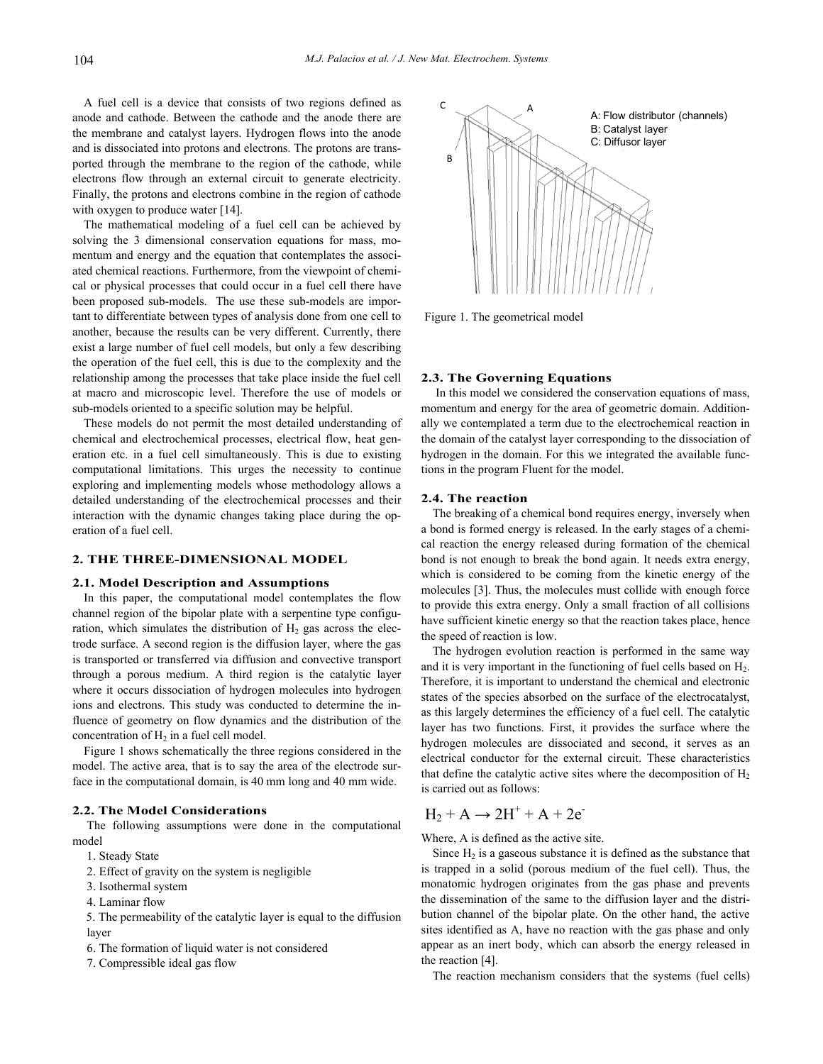A fuel cell is a device that consists of two regions defined as anode and cathode. Between the cathode and the anode there are the membrane and catalyst layers. Hydrogen flows into the anode and is dissociated into protons and electrons. The protons are transported through the membrane to the region of the cathode, while electrons flow through an external circuit to generate electricity. Finally, the protons and electrons combine in the region of cathode with oxygen to produce water [14].

The mathematical modeling of a fuel cell can be achieved by solving the 3 dimensional conservation equations for mass, momentum and energy and the equation that contemplates the associated chemical reactions. Furthermore, from the viewpoint of chemical or physical processes that could occur in a fuel cell there have been proposed sub-models. The use these sub-models are important to differentiate between types of analysis done from one cell to another, because the results can be very different. Currently, there exist a large number of fuel cell models, but only a few describing the operation of the fuel cell, this is due to the complexity and the relationship among the processes that take place inside the fuel cell at macro and microscopic level. Therefore the use of models or sub-models oriented to a specific solution may be helpful.

These models do not permit the most detailed understanding of chemical and electrochemical processes, electrical flow, heat generation etc. in a fuel cell simultaneously. This is due to existing computational limitations. This urges the necessity to continue exploring and implementing models whose methodology allows a detailed understanding of the electrochemical processes and their interaction with the dynamic changes taking place during the operation of a fuel cell.

# **2. THE THREE-DIMENSIONAL MODEL**

### **2.1. Model Description and Assumptions**

In this paper, the computational model contemplates the flow channel region of the bipolar plate with a serpentine type configuration, which simulates the distribution of  $H_2$  gas across the electrode surface. A second region is the diffusion layer, where the gas is transported or transferred via diffusion and convective transport through a porous medium. A third region is the catalytic layer where it occurs dissociation of hydrogen molecules into hydrogen ions and electrons. This study was conducted to determine the influence of geometry on flow dynamics and the distribution of the concentration of  $H_2$  in a fuel cell model.

Figure 1 shows schematically the three regions considered in the model. The active area, that is to say the area of the electrode surface in the computational domain, is 40 mm long and 40 mm wide.

## **2.2. The Model Considerations**

 The following assumptions were done in the computational model

- 1. Steady State
- 2. Effect of gravity on the system is negligible
- 3. Isothermal system
- 4. Laminar flow

 5. The permeability of the catalytic layer is equal to the diffusion layer

- 6. The formation of liquid water is not considered
- 7. Compressible ideal gas flow



Figure 1. The geometrical model

### **2.3. The Governing Equations**

 In this model we considered the conservation equations of mass, momentum and energy for the area of geometric domain. Additionally we contemplated a term due to the electrochemical reaction in the domain of the catalyst layer corresponding to the dissociation of hydrogen in the domain. For this we integrated the available functions in the program Fluent for the model.

## **2.4. The reaction**

The breaking of a chemical bond requires energy, inversely when a bond is formed energy is released. In the early stages of a chemical reaction the energy released during formation of the chemical bond is not enough to break the bond again. It needs extra energy, which is considered to be coming from the kinetic energy of the molecules [3]. Thus, the molecules must collide with enough force to provide this extra energy. Only a small fraction of all collisions have sufficient kinetic energy so that the reaction takes place, hence the speed of reaction is low.

The hydrogen evolution reaction is performed in the same way and it is very important in the functioning of fuel cells based on H2. Therefore, it is important to understand the chemical and electronic states of the species absorbed on the surface of the electrocatalyst, as this largely determines the efficiency of a fuel cell. The catalytic layer has two functions. First, it provides the surface where the hydrogen molecules are dissociated and second, it serves as an electrical conductor for the external circuit. These characteristics that define the catalytic active sites where the decomposition of  $H_2$ is carried out as follows:

# $H_2 + A \rightarrow 2H^+ + A + 2e^-$

Where, A is defined as the active site.

Since  $H_2$  is a gaseous substance it is defined as the substance that is trapped in a solid (porous medium of the fuel cell). Thus, the monatomic hydrogen originates from the gas phase and prevents the dissemination of the same to the diffusion layer and the distribution channel of the bipolar plate. On the other hand, the active sites identified as A, have no reaction with the gas phase and only appear as an inert body, which can absorb the energy released in the reaction [4].

The reaction mechanism considers that the systems (fuel cells)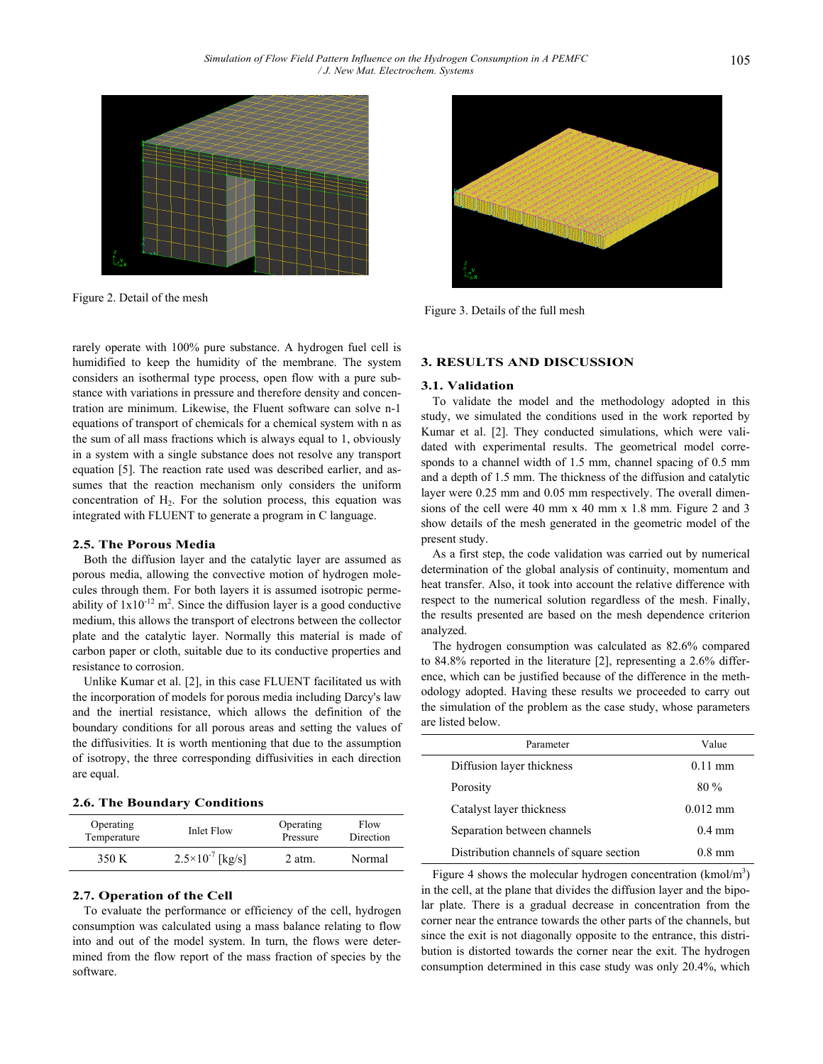

Figure 2. Detail of the mesh

rarely operate with 100% pure substance. A hydrogen fuel cell is humidified to keep the humidity of the membrane. The system considers an isothermal type process, open flow with a pure substance with variations in pressure and therefore density and concentration are minimum. Likewise, the Fluent software can solve n-1 equations of transport of chemicals for a chemical system with n as the sum of all mass fractions which is always equal to 1, obviously in a system with a single substance does not resolve any transport equation [5]. The reaction rate used was described earlier, and assumes that the reaction mechanism only considers the uniform concentration of  $H_2$ . For the solution process, this equation was integrated with FLUENT to generate a program in C language.

## **2.5. The Porous Media**

Both the diffusion layer and the catalytic layer are assumed as porous media, allowing the convective motion of hydrogen molecules through them. For both layers it is assumed isotropic permeability of  $1x10^{-12}$  m<sup>2</sup>. Since the diffusion layer is a good conductive medium, this allows the transport of electrons between the collector plate and the catalytic layer. Normally this material is made of carbon paper or cloth, suitable due to its conductive properties and resistance to corrosion.

Unlike Kumar et al. [2], in this case FLUENT facilitated us with the incorporation of models for porous media including Darcy's law and the inertial resistance, which allows the definition of the boundary conditions for all porous areas and setting the values of the diffusivities. It is worth mentioning that due to the assumption of isotropy, the three corresponding diffusivities in each direction are equal.

|  | 2.6. The Boundary Conditions |
|--|------------------------------|
|  |                              |

| Operating   | Inlet Flow                  | Operating | Flow      |
|-------------|-----------------------------|-----------|-----------|
| Temperature |                             | Pressure  | Direction |
| 350 K       | $2.5 \times 10^{-7}$ [kg/s] | 2 atm.    | Normal    |

#### **2.7. Operation of the Cell**

To evaluate the performance or efficiency of the cell, hydrogen consumption was calculated using a mass balance relating to flow into and out of the model system. In turn, the flows were determined from the flow report of the mass fraction of species by the software.



Figure 3. Details of the full mesh

## **3. RESULTS AND DISCUSSION**

#### **3.1. Validation**

To validate the model and the methodology adopted in this study, we simulated the conditions used in the work reported by Kumar et al. [2]. They conducted simulations, which were validated with experimental results. The geometrical model corresponds to a channel width of 1.5 mm, channel spacing of 0.5 mm and a depth of 1.5 mm. The thickness of the diffusion and catalytic layer were 0.25 mm and 0.05 mm respectively. The overall dimensions of the cell were 40 mm x 40 mm x 1.8 mm. Figure 2 and 3 show details of the mesh generated in the geometric model of the present study.

As a first step, the code validation was carried out by numerical determination of the global analysis of continuity, momentum and heat transfer. Also, it took into account the relative difference with respect to the numerical solution regardless of the mesh. Finally, the results presented are based on the mesh dependence criterion analyzed.

The hydrogen consumption was calculated as 82.6% compared to 84.8% reported in the literature [2], representing a 2.6% difference, which can be justified because of the difference in the methodology adopted. Having these results we proceeded to carry out the simulation of the problem as the case study, whose parameters are listed below.

| Parameter                               | Value             |
|-----------------------------------------|-------------------|
|                                         |                   |
| Diffusion layer thickness               | $0.11 \text{ mm}$ |
| Porosity                                | $80\%$            |
| Catalyst layer thickness                | $0.012$ mm        |
| Separation between channels             | $0.4 \text{ mm}$  |
| Distribution channels of square section | 0.8 mm            |

Figure 4 shows the molecular hydrogen concentration  $(kmol/m<sup>3</sup>)$ in the cell, at the plane that divides the diffusion layer and the bipolar plate. There is a gradual decrease in concentration from the corner near the entrance towards the other parts of the channels, but since the exit is not diagonally opposite to the entrance, this distribution is distorted towards the corner near the exit. The hydrogen consumption determined in this case study was only 20.4%, which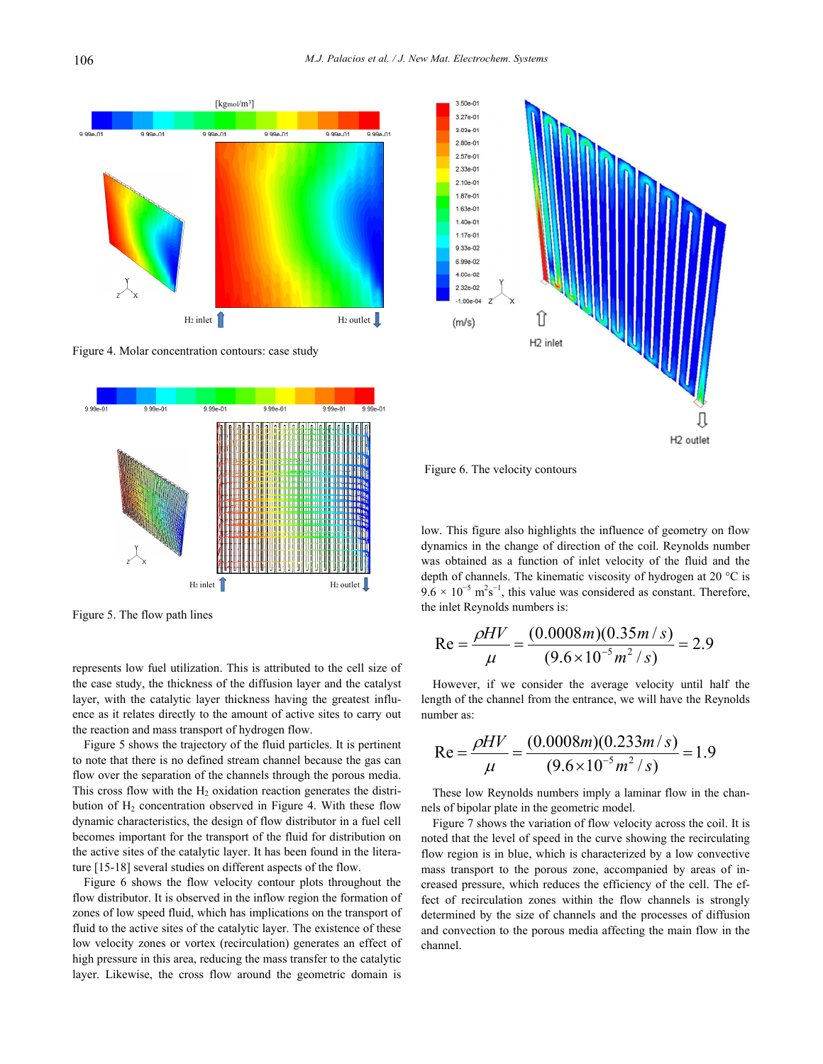





Figure 5. The flow path lines

represents low fuel utilization. This is attributed to the cell size of the case study, the thickness of the diffusion layer and the catalyst layer, with the catalytic layer thickness having the greatest influence as it relates directly to the amount of active sites to carry out the reaction and mass transport of hydrogen flow.

Figure 5 shows the trajectory of the fluid particles. It is pertinent to note that there is no defined stream channel because the gas can flow over the separation of the channels through the porous media. This cross flow with the  $H_2$  oxidation reaction generates the distribution of  $H_2$  concentration observed in Figure 4. With these flow dynamic characteristics, the design of flow distributor in a fuel cell becomes important for the transport of the fluid for distribution on the active sites of the catalytic layer. It has been found in the literature [15-18] several studies on different aspects of the flow.

Figure 6 shows the flow velocity contour plots throughout the flow distributor. It is observed in the inflow region the formation of zones of low speed fluid, which has implications on the transport of fluid to the active sites of the catalytic layer. The existence of these low velocity zones or vortex (recirculation) generates an effect of high pressure in this area, reducing the mass transfer to the catalytic layer. Likewise, the cross flow around the geometric domain is



Figure 6. The velocity contours

low. This figure also highlights the influence of geometry on flow dynamics in the change of direction of the coil. Reynolds number was obtained as a function of inlet velocity of the fluid and the depth of channels. The kinematic viscosity of hydrogen at 20 °C is  $9.6 \times 10^{-5}$  m<sup>2</sup>s<sup>-1</sup>, this value was considered as constant. Therefore, the inlet Reynolds numbers is:

Re = 
$$
\frac{\rho HV}{\mu}
$$
 =  $\frac{(0.0008m)(0.35m/s)}{(9.6 \times 10^{-5}m^2/s)}$  = 2.9

However, if we consider the average velocity until half the length of the channel from the entrance, we will have the Reynolds number as:

Re = 
$$
\frac{\rho HV}{\mu}
$$
 =  $\frac{(0.0008m)(0.233m/s)}{(9.6 \times 10^{-5} m^2/s)}$  = 1.9

These low Reynolds numbers imply a laminar flow in the channels of bipolar plate in the geometric model.

Figure 7 shows the variation of flow velocity across the coil. It is noted that the level of speed in the curve showing the recirculating flow region is in blue, which is characterized by a low convective mass transport to the porous zone, accompanied by areas of increased pressure, which reduces the efficiency of the cell. The effect of recirculation zones within the flow channels is strongly determined by the size of channels and the processes of diffusion and convection to the porous media affecting the main flow in the channel.